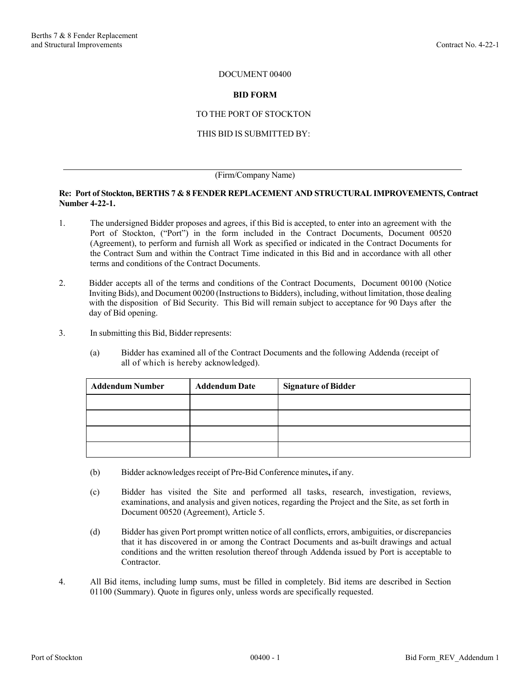#### DOCUMENT 00400

#### **BID FORM**

### TO THE PORT OF STOCKTON

#### THIS BID IS SUBMITTED BY:

#### (Firm/Company Name)

#### **Re: Port of Stockton, BERTHS 7 & 8 FENDER REPLACEMENT AND STRUCTURAL IMPROVEMENTS, Contract Number 4-22-1.**

- 1. The undersigned Bidder proposes and agrees, if this Bid is accepted, to enter into an agreement with the Port of Stockton, ("Port") in the form included in the Contract Documents, Document 00520 (Agreement), to perform and furnish all Work as specified or indicated in the Contract Documents for the Contract Sum and within the Contract Time indicated in this Bid and in accordance with all other terms and conditions of the Contract Documents.
- 2. Bidder accepts all of the terms and conditions of the Contract Documents, Document 00100 (Notice Inviting Bids), and Document 00200 (Instructions to Bidders), including, without limitation, those dealing with the disposition of Bid Security. This Bid will remain subject to acceptance for 90 Days after the day of Bid opening.
- 3. In submitting this Bid, Bidder represents:
	- (a) Bidder has examined all of the Contract Documents and the following Addenda (receipt of all of which is hereby acknowledged).

| <b>Addendum Number</b> | <b>Addendum Date</b> | <b>Signature of Bidder</b> |  |  |  |
|------------------------|----------------------|----------------------------|--|--|--|
|                        |                      |                            |  |  |  |
|                        |                      |                            |  |  |  |
|                        |                      |                            |  |  |  |
|                        |                      |                            |  |  |  |

- (b) Bidder acknowledges receipt of Pre-Bid Conference minutes**,** if any.
- (c) Bidder has visited the Site and performed all tasks, research, investigation, reviews, examinations, and analysis and given notices, regarding the Project and the Site, as set forth in Document 00520 (Agreement), Article 5.
- (d) Bidder has given Port prompt written notice of all conflicts, errors, ambiguities, or discrepancies that it has discovered in or among the Contract Documents and as-built drawings and actual conditions and the written resolution thereof through Addenda issued by Port is acceptable to Contractor.
- 4. All Bid items, including lump sums, must be filled in completely. Bid items are described in Section 01100 (Summary). Quote in figures only, unless words are specifically requested.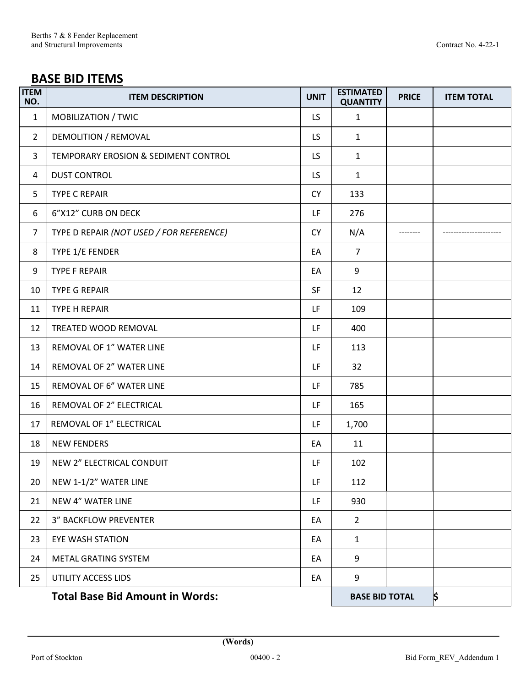# **BASE BID ITEMS**

| <b>ITEM</b><br>NO. | <b>ITEM DESCRIPTION</b>                  | <b>UNIT</b> | <b>ESTIMATED</b><br><b>QUANTITY</b> | <b>PRICE</b> | <b>ITEM TOTAL</b> |
|--------------------|------------------------------------------|-------------|-------------------------------------|--------------|-------------------|
| $\mathbf{1}$       | MOBILIZATION / TWIC                      | LS.         | $\mathbf{1}$                        |              |                   |
| $\overline{2}$     | DEMOLITION / REMOVAL                     |             | 1                                   |              |                   |
| 3                  | TEMPORARY EROSION & SEDIMENT CONTROL     |             | $\mathbf{1}$                        |              |                   |
| 4                  | <b>DUST CONTROL</b>                      |             | $\mathbf{1}$                        |              |                   |
| 5                  | <b>TYPE C REPAIR</b>                     | <b>CY</b>   | 133                                 |              |                   |
| 6                  | 6"X12" CURB ON DECK                      |             | 276                                 |              |                   |
| $\overline{7}$     | TYPE D REPAIR (NOT USED / FOR REFERENCE) | <b>CY</b>   | N/A                                 |              |                   |
| 8                  | TYPE 1/E FENDER                          | EA          | $\overline{7}$                      |              |                   |
| 9                  | <b>TYPE F REPAIR</b>                     | EA          | 9                                   |              |                   |
| 10                 | <b>TYPE G REPAIR</b>                     | <b>SF</b>   | 12                                  |              |                   |
| 11                 | TYPE H REPAIR                            | LF          | 109                                 |              |                   |
| 12                 | TREATED WOOD REMOVAL                     | LF          | 400                                 |              |                   |
| 13                 | REMOVAL OF 1" WATER LINE                 | LF          | 113                                 |              |                   |
| 14                 | REMOVAL OF 2" WATER LINE                 | LF          | 32                                  |              |                   |
| 15                 | REMOVAL OF 6" WATER LINE                 | LF          | 785                                 |              |                   |
| 16                 | REMOVAL OF 2" ELECTRICAL                 | LF          | 165                                 |              |                   |
| 17                 | REMOVAL OF 1" ELECTRICAL                 | LF          | 1,700                               |              |                   |
| 18                 | <b>NEW FENDERS</b>                       | EA          | 11                                  |              |                   |
| 19                 | NEW 2" ELECTRICAL CONDUIT                | LF          | 102                                 |              |                   |
| 20                 | NEW 1-1/2" WATER LINE                    | LF          | 112                                 |              |                   |
| 21                 | <b>NEW 4" WATER LINE</b>                 | LF          | 930                                 |              |                   |
| 22                 | <b>3" BACKFLOW PREVENTER</b>             | EA          | $\overline{2}$                      |              |                   |
| 23                 | <b>EYE WASH STATION</b>                  | EA          | $\mathbf{1}$                        |              |                   |
| 24                 | METAL GRATING SYSTEM                     | EA          | 9                                   |              |                   |
| 25                 | UTILITY ACCESS LIDS                      | EA          | 9                                   |              |                   |
|                    | <b>Total Base Bid Amount in Words:</b>   |             | <b>BASE BID TOTAL</b>               |              | \$                |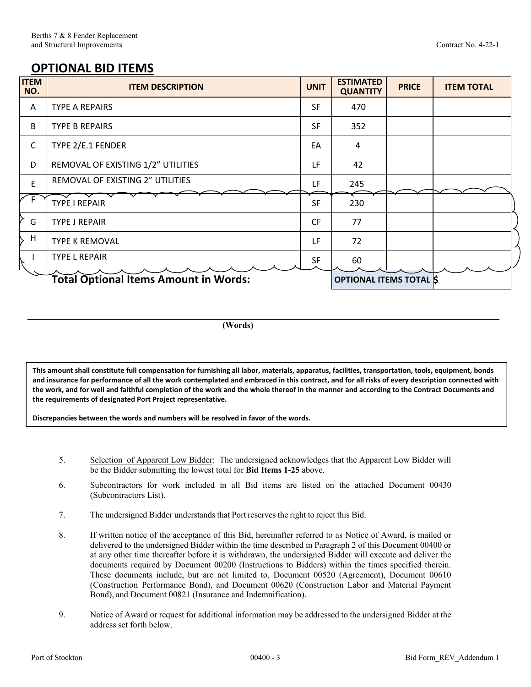## **OPTIONAL BID ITEMS**

| <b>ITEM</b><br>NO.                           | <b>ITEM DESCRIPTION</b>            | <b>UNIT</b>                   | <b>ESTIMATED</b><br><b>QUANTITY</b> | <b>PRICE</b> | <b>ITEM TOTAL</b> |
|----------------------------------------------|------------------------------------|-------------------------------|-------------------------------------|--------------|-------------------|
| $\mathsf{A}$                                 | TYPE A REPAIRS                     | <b>SF</b>                     | 470                                 |              |                   |
| B                                            | <b>TYPE B REPAIRS</b>              | <b>SF</b>                     | 352                                 |              |                   |
| C                                            | TYPE 2/E.1 FENDER                  | EA                            | 4                                   |              |                   |
| D                                            | REMOVAL OF EXISTING 1/2" UTILITIES | LF                            | 42                                  |              |                   |
| E                                            | REMOVAL OF EXISTING 2" UTILITIES   | LF                            | 245                                 |              |                   |
| E                                            | <b>TYPE I REPAIR</b>               | <b>SF</b>                     | 230                                 |              |                   |
| G                                            | <b>TYPE J REPAIR</b>               | <b>CF</b>                     | 77                                  |              |                   |
| H                                            | <b>TYPE K REMOVAL</b>              | LF                            | 72                                  |              |                   |
|                                              | <b>TYPE L REPAIR</b>               | <b>SF</b>                     | 60                                  |              |                   |
| <b>Total Optional Items Amount in Words:</b> |                                    | <b>OPTIONAL ITEMS TOTAL S</b> |                                     |              |                   |

**(Words)** 

**This amount shall constitute full compensation for furnishing all labor, materials, apparatus, facilities, transportation, tools, equipment, bonds and insurance for performance of all the work contemplated and embraced in this contract, and for all risks of every description connected with the work, and for well and faithful completion of the work and the whole thereof in the manner and according to the Contract Documents and the requirements of designated Port Project representative.** 

**Discrepancies between the words and numbers will be resolved in favor of the words.** 

- 5. Selection of Apparent Low Bidder: The undersigned acknowledges that the Apparent Low Bidder will be the Bidder submitting the lowest total for **Bid Items 1-25** above.
- 6. Subcontractors for work included in all Bid items are listed on the attached Document 00430 (Subcontractors List).
- 7. The undersigned Bidder understands that Port reserves the right to reject this Bid.
- 8. If written notice of the acceptance of this Bid, hereinafter referred to as Notice of Award, is mailed or delivered to the undersigned Bidder within the time described in Paragraph 2 of this Document 00400 or at any other time thereafter before it is withdrawn, the undersigned Bidder will execute and deliver the documents required by Document 00200 (Instructions to Bidders) within the times specified therein. These documents include, but are not limited to, Document 00520 (Agreement), Document 00610 (Construction Performance Bond), and Document 00620 (Construction Labor and Material Payment Bond), and Document 00821 (Insurance and Indemnification).
- 9. Notice of Award or request for additional information may be addressed to the undersigned Bidder at the address set forth below.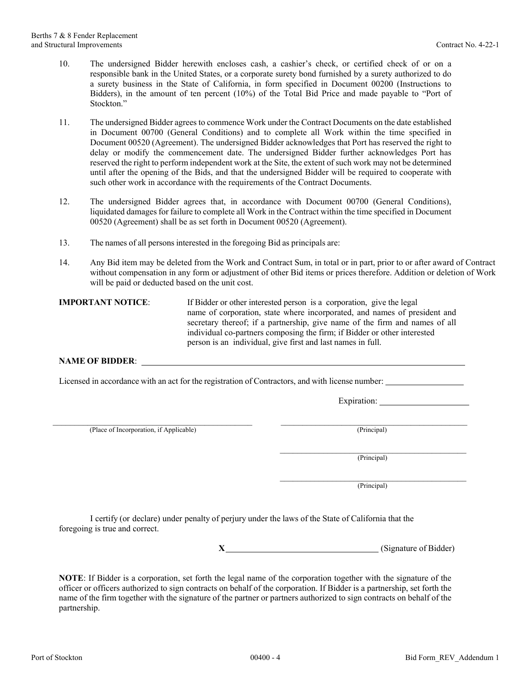- 10. The undersigned Bidder herewith encloses cash, a cashier's check, or certified check of or on a responsible bank in the United States, or a corporate surety bond furnished by a surety authorized to do a surety business in the State of California, in form specified in Document 00200 (Instructions to Bidders), in the amount of ten percent (10%) of the Total Bid Price and made payable to "Port of Stockton."
- 11. The undersigned Bidder agrees to commence Work under the Contract Documents on the date established in Document 00700 (General Conditions) and to complete all Work within the time specified in Document 00520 (Agreement). The undersigned Bidder acknowledges that Port has reserved the right to delay or modify the commencement date. The undersigned Bidder further acknowledges Port has reserved the right to perform independent work at the Site, the extent of such work may not be determined until after the opening of the Bids, and that the undersigned Bidder will be required to cooperate with such other work in accordance with the requirements of the Contract Documents.
- 12. The undersigned Bidder agrees that, in accordance with Document 00700 (General Conditions), liquidated damages for failure to complete all Work in the Contract within the time specified in Document 00520 (Agreement) shall be as set forth in Document 00520 (Agreement).
- 13. The names of all persons interested in the foregoing Bid as principals are:
- 14. Any Bid item may be deleted from the Work and Contract Sum, in total or in part, prior to or after award of Contract without compensation in any form or adjustment of other Bid items or prices therefore. Addition or deletion of Work will be paid or deducted based on the unit cost.

**IMPORTANT NOTICE:** If Bidder or other interested person is a corporation, give the legal name of corporation, state where incorporated, and names of president and secretary thereof; if a partnership, give name of the firm and names of all individual co-partners composing the firm; if Bidder or other interested person is an individual, give first and last names in full.

#### **NAME OF BIDDER**:

Licensed in accordance with an act for the registration of Contractors, and with license number:

Expiration:

\_\_\_\_\_\_\_\_\_\_\_\_\_\_\_\_\_\_\_\_\_\_\_\_\_\_\_\_\_\_\_\_\_\_\_\_\_\_\_\_\_\_\_\_\_\_ \_\_\_\_\_\_\_\_\_\_\_\_\_\_\_\_\_\_\_\_\_\_\_\_\_\_\_\_\_\_\_\_\_\_\_\_\_\_\_\_\_\_\_ (Place of Incorporation, if Applicable) (Principal)

 $(Principal)$ 

 $(Principal)$ 

I certify (or declare) under penalty of perjury under the laws of the State of California that the foregoing is true and correct.

**X** (Signature of Bidder)

**NOTE**: If Bidder is a corporation, set forth the legal name of the corporation together with the signature of the officer or officers authorized to sign contracts on behalf of the corporation. If Bidder is a partnership, set forth the name of the firm together with the signature of the partner or partners authorized to sign contracts on behalf of the partnership.